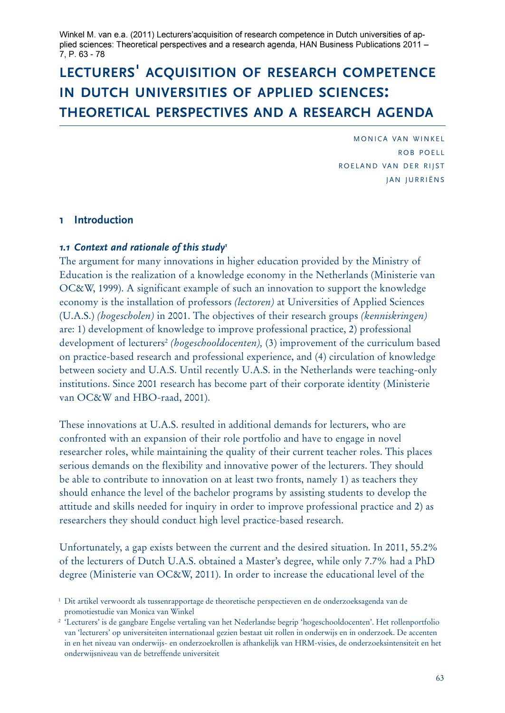Winkel M. van e.a. (2011) Lecturers'acquisition of research competence in Dutch universities of applied sciences: Theoretical perspectives and a research agenda, HAN Business Publications 2011 -7. P. 63 - 78

# **lecturers' acquisition of research competence in dutch universities of applied sciences: theoretical perspectives and a research agenda**

MONICA VAN WINKEL ROB POFIL ROELAND VAN DER RIJST JAN JURRIËNS

# **1 Introduction**

## *1.1 Context and rationale of this study1*

The argument for many innovations in higher education provided by the Ministry of Education is the realization of a knowledge economy in the Netherlands (Ministerie van OC&W, 1999). A significant example of such an innovation to support the knowledge economy is the installation of professors *(lectoren)* at Universities of Applied Sciences (U.A.S.) *(hogescholen)* in 2001. The objectives of their research groups *(kenniskringen)* are: 1) development of knowledge to improve professional practice, 2) professional development of lecturers2 *(hogeschooldocenten),* (3) improvement of the curriculum based on practice-based research and professional experience, and (4) circulation of knowledge between society and U.A.S. Until recently U.A.S. in the Netherlands were teaching-only institutions. Since 2001 research has become part of their corporate identity (Ministerie van OC&W and HBO-raad, 2001).

These innovations at U.A.S. resulted in additional demands for lecturers, who are confronted with an expansion of their role portfolio and have to engage in novel researcher roles, while maintaining the quality of their current teacher roles. This places serious demands on the flexibility and innovative power of the lecturers. They should be able to contribute to innovation on at least two fronts, namely 1) as teachers they should enhance the level of the bachelor programs by assisting students to develop the attitude and skills needed for inquiry in order to improve professional practice and 2) as researchers they should conduct high level practice-based research.

Unfortunately, a gap exists between the current and the desired situation. In 2011, 55.2% of the lecturers of Dutch U.A.S. obtained a Master's degree, while only 7.7% had a PhD degree (Ministerie van OC&W, 2011). In order to increase the educational level of the

<sup>1</sup> Dit artikel verwoordt als tussenrapportage de theoretische perspectieven en de onderzoeksagenda van de promotiestudie van Monica van Winkel

<sup>&</sup>lt;sup>2</sup> 'Lecturers' is de gangbare Engelse vertaling van het Nederlandse begrip 'hogeschooldocenten'. Het rollenportfolio van 'lecturers' op universiteiten internationaal gezien bestaat uit rollen in onderwijs en in onderzoek. De accenten in en het niveau van onderwijs- en onderzoekrollen is afhankelijk van HRM-visies, de onderzoeksintensiteit en het onderwijsniveau van de betreffende universiteit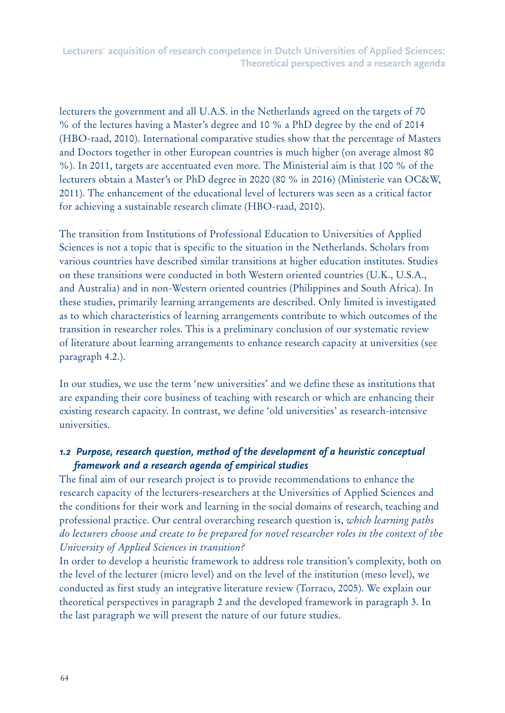lecturers the government and all U.A.S. in the Netherlands agreed on the targets of 70 % of the lectures having a Master's degree and 10 % a PhD degree by the end of 2014 (HBO-raad, 2010). International comparative studies show that the percentage of Masters and Doctors together in other European countries is much higher (on average almost 80 %). In 2011, targets are accentuated even more. The Ministerial aim is that 100 % of the lecturers obtain a Master's or PhD degree in 2020 (80 % in 2016) (Ministerie van OC&W, 2011). The enhancement of the educational level of lecturers was seen as a critical factor for achieving a sustainable research climate (HBO-raad, 2010).

The transition from Institutions of Professional Education to Universities of Applied Sciences is not a topic that is specific to the situation in the Netherlands. Scholars from various countries have described similar transitions at higher education institutes. Studies on these transitions were conducted in both Western oriented countries (U.K., U.S.A., and Australia) and in non-Western oriented countries (Philippines and South Africa). In these studies, primarily learning arrangements are described. Only limited is investigated as to which characteristics of learning arrangements contribute to which outcomes of the transition in researcher roles. This is a preliminary conclusion of our systematic review of literature about learning arrangements to enhance research capacity at universities (see paragraph 4.2.).

In our studies, we use the term 'new universities' and we define these as institutions that are expanding their core business of teaching with research or which are enhancing their existing research capacity. In contrast, we define 'old universities' as research-intensive universities.

# *1.2 Purpose, research question, method of the development of a heuristic conceptual framework and a research agenda of empirical studies*

The final aim of our research project is to provide recommendations to enhance the research capacity of the lecturers-researchers at the Universities of Applied Sciences and the conditions for their work and learning in the social domains of research, teaching and professional practice. Our central overarching research question is, *which learning paths do lecturers choose and create to be prepared for novel researcher roles in the context of the University of Applied Sciences in transition?*

In order to develop a heuristic framework to address role transition's complexity, both on the level of the lecturer (micro level) and on the level of the institution (meso level), we conducted as first study an integrative literature review (Torraco, 2005). We explain our theoretical perspectives in paragraph 2 and the developed framework in paragraph 3. In the last paragraph we will present the nature of our future studies.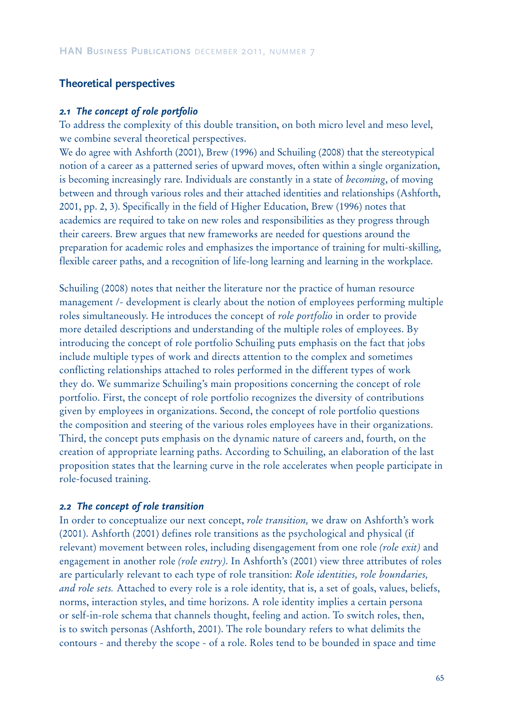# **Theoretical perspectives**

#### *2.1 The concept of role portfolio*

To address the complexity of this double transition, on both micro level and meso level, we combine several theoretical perspectives.

We do agree with Ashforth (2001), Brew (1996) and Schuiling (2008) that the stereotypical notion of a career as a patterned series of upward moves, often within a single organization, is becoming increasingly rare. Individuals are constantly in a state of *becoming*, of moving between and through various roles and their attached identities and relationships (Ashforth, 2001, pp. 2, 3). Specifically in the field of Higher Education, Brew (1996) notes that academics are required to take on new roles and responsibilities as they progress through their careers. Brew argues that new frameworks are needed for questions around the preparation for academic roles and emphasizes the importance of training for multi-skilling, flexible career paths, and a recognition of life-long learning and learning in the workplace.

Schuiling (2008) notes that neither the literature nor the practice of human resource management /- development is clearly about the notion of employees performing multiple roles simultaneously. He introduces the concept of *role portfolio* in order to provide more detailed descriptions and understanding of the multiple roles of employees. By introducing the concept of role portfolio Schuiling puts emphasis on the fact that jobs include multiple types of work and directs attention to the complex and sometimes conflicting relationships attached to roles performed in the different types of work they do. We summarize Schuiling's main propositions concerning the concept of role portfolio. First, the concept of role portfolio recognizes the diversity of contributions given by employees in organizations. Second, the concept of role portfolio questions the composition and steering of the various roles employees have in their organizations. Third, the concept puts emphasis on the dynamic nature of careers and, fourth, on the creation of appropriate learning paths. According to Schuiling, an elaboration of the last proposition states that the learning curve in the role accelerates when people participate in role-focused training.

## *2.2 The concept of role transition*

In order to conceptualize our next concept, *role transition,* we draw on Ashforth's work (2001). Ashforth (2001) defines role transitions as the psychological and physical (if relevant) movement between roles, including disengagement from one role *(role exit)* and engagement in another role *(role entry)*. In Ashforth's (2001) view three attributes of roles are particularly relevant to each type of role transition: *Role identities, role boundaries, and role sets.* Attached to every role is a role identity, that is, a set of goals, values, beliefs, norms, interaction styles, and time horizons. A role identity implies a certain persona or self-in-role schema that channels thought, feeling and action. To switch roles, then, is to switch personas (Ashforth, 2001). The role boundary refers to what delimits the contours - and thereby the scope - of a role. Roles tend to be bounded in space and time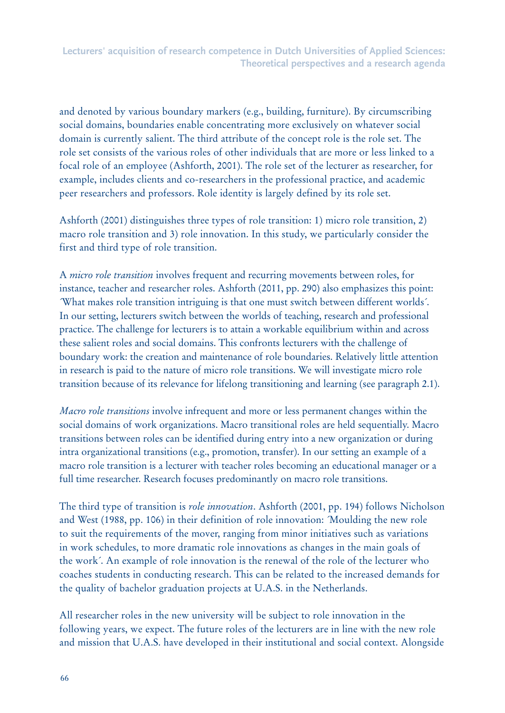and denoted by various boundary markers (e.g., building, furniture). By circumscribing social domains, boundaries enable concentrating more exclusively on whatever social domain is currently salient. The third attribute of the concept role is the role set. The role set consists of the various roles of other individuals that are more or less linked to a focal role of an employee (Ashforth, 2001). The role set of the lecturer as researcher, for example, includes clients and co-researchers in the professional practice, and academic peer researchers and professors. Role identity is largely defined by its role set.

Ashforth (2001) distinguishes three types of role transition: 1) micro role transition, 2) macro role transition and 3) role innovation. In this study, we particularly consider the first and third type of role transition.

A *micro role transition* involves frequent and recurring movements between roles, for instance, teacher and researcher roles. Ashforth (2011, pp. 290) also emphasizes this point: ´What makes role transition intriguing is that one must switch between different worlds´. In our setting, lecturers switch between the worlds of teaching, research and professional practice. The challenge for lecturers is to attain a workable equilibrium within and across these salient roles and social domains. This confronts lecturers with the challenge of boundary work: the creation and maintenance of role boundaries. Relatively little attention in research is paid to the nature of micro role transitions. We will investigate micro role transition because of its relevance for lifelong transitioning and learning (see paragraph 2.1).

*Macro role transitions* involve infrequent and more or less permanent changes within the social domains of work organizations. Macro transitional roles are held sequentially. Macro transitions between roles can be identified during entry into a new organization or during intra organizational transitions (e.g., promotion, transfer). In our setting an example of a macro role transition is a lecturer with teacher roles becoming an educational manager or a full time researcher. Research focuses predominantly on macro role transitions.

The third type of transition is *role innovation*. Ashforth (2001, pp. 194) follows Nicholson and West (1988, pp. 106) in their definition of role innovation: Moulding the new role to suit the requirements of the mover, ranging from minor initiatives such as variations in work schedules, to more dramatic role innovations as changes in the main goals of the work´. An example of role innovation is the renewal of the role of the lecturer who coaches students in conducting research. This can be related to the increased demands for the quality of bachelor graduation projects at U.A.S. in the Netherlands.

All researcher roles in the new university will be subject to role innovation in the following years, we expect. The future roles of the lecturers are in line with the new role and mission that U.A.S. have developed in their institutional and social context. Alongside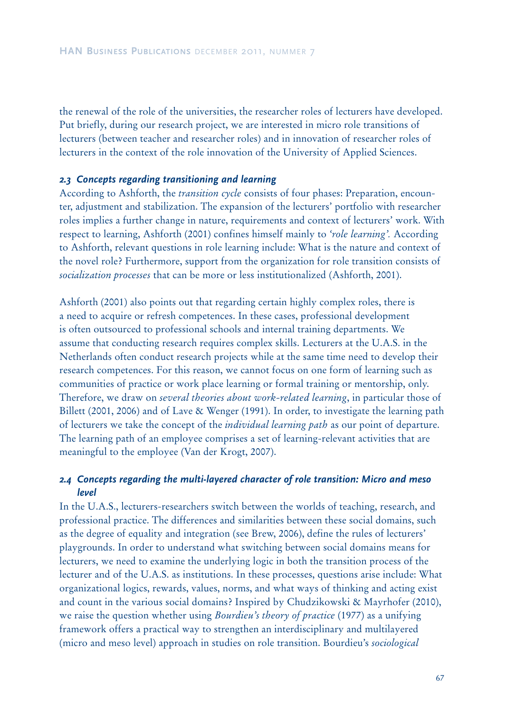the renewal of the role of the universities, the researcher roles of lecturers have developed. Put briefly, during our research project, we are interested in micro role transitions of lecturers (between teacher and researcher roles) and in innovation of researcher roles of lecturers in the context of the role innovation of the University of Applied Sciences.

#### *2.3 Concepts regarding transitioning and learning*

According to Ashforth, the *transition cycle* consists of four phases: Preparation, encounter, adjustment and stabilization. The expansion of the lecturers' portfolio with researcher roles implies a further change in nature, requirements and context of lecturers' work. With respect to learning, Ashforth (2001) confines himself mainly to *'role learning'.* According to Ashforth, relevant questions in role learning include: What is the nature and context of the novel role? Furthermore, support from the organization for role transition consists of *socialization processes* that can be more or less institutionalized (Ashforth, 2001).

Ashforth (2001) also points out that regarding certain highly complex roles, there is a need to acquire or refresh competences. In these cases, professional development is often outsourced to professional schools and internal training departments. We assume that conducting research requires complex skills. Lecturers at the U.A.S. in the Netherlands often conduct research projects while at the same time need to develop their research competences. For this reason, we cannot focus on one form of learning such as communities of practice or work place learning or formal training or mentorship, only. Therefore, we draw on *several theories about work-related learning*, in particular those of Billett (2001, 2006) and of Lave & Wenger (1991). In order, to investigate the learning path of lecturers we take the concept of the *individual learning path* as our point of departure. The learning path of an employee comprises a set of learning-relevant activities that are meaningful to the employee (Van der Krogt, 2007).

## *2.4**Concepts regarding the multi-layered character of role transition: Micro and meso level*

In the U.A.S., lecturers-researchers switch between the worlds of teaching, research, and professional practice. The differences and similarities between these social domains, such as the degree of equality and integration (see Brew, 2006), define the rules of lecturers' playgrounds. In order to understand what switching between social domains means for lecturers, we need to examine the underlying logic in both the transition process of the lecturer and of the U.A.S. as institutions. In these processes, questions arise include: What organizational logics, rewards, values, norms, and what ways of thinking and acting exist and count in the various social domains? Inspired by Chudzikowski & Mayrhofer (2010), we raise the question whether using *Bourdieu's theory of practice* (1977) as a unifying framework offers a practical way to strengthen an interdisciplinary and multilayered (micro and meso level) approach in studies on role transition. Bourdieu's *sociological*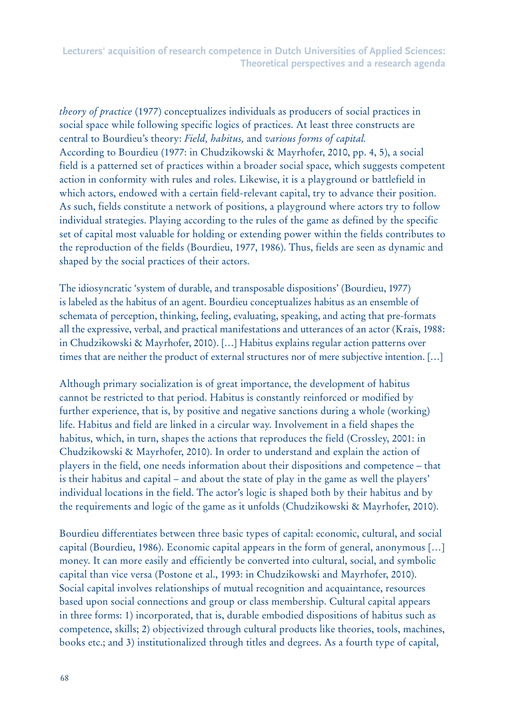*theory of practice* (1977) conceptualizes individuals as producers of social practices in social space while following specific logics of practices. At least three constructs are central to Bourdieu's theory: *Field, habitus,* and *various forms of capital.* According to Bourdieu (1977: in Chudzikowski & Mayrhofer, 2010, pp. 4, 5), a social field is a patterned set of practices within a broader social space, which suggests competent action in conformity with rules and roles. Likewise, it is a playground or battlefield in which actors, endowed with a certain field-relevant capital, try to advance their position. As such, fields constitute a network of positions, a playground where actors try to follow individual strategies. Playing according to the rules of the game as defined by the specific set of capital most valuable for holding or extending power within the fields contributes to the reproduction of the fields (Bourdieu, 1977, 1986). Thus, fields are seen as dynamic and shaped by the social practices of their actors.

The idiosyncratic 'system of durable, and transposable dispositions' (Bourdieu, 1977) is labeled as the habitus of an agent. Bourdieu conceptualizes habitus as an ensemble of schemata of perception, thinking, feeling, evaluating, speaking, and acting that pre-formats all the expressive, verbal, and practical manifestations and utterances of an actor (Krais, 1988: in Chudzikowski & Mayrhofer, 2010). […] Habitus explains regular action patterns over times that are neither the product of external structures nor of mere subjective intention. […]

Although primary socialization is of great importance, the development of habitus cannot be restricted to that period. Habitus is constantly reinforced or modified by further experience, that is, by positive and negative sanctions during a whole (working) life. Habitus and field are linked in a circular way. Involvement in a field shapes the habitus, which, in turn, shapes the actions that reproduces the field (Crossley, 2001: in Chudzikowski & Mayrhofer, 2010). In order to understand and explain the action of players in the field, one needs information about their dispositions and competence – that is their habitus and capital – and about the state of play in the game as well the players' individual locations in the field. The actor's logic is shaped both by their habitus and by the requirements and logic of the game as it unfolds (Chudzikowski & Mayrhofer, 2010).

Bourdieu differentiates between three basic types of capital: economic, cultural, and social capital (Bourdieu, 1986). Economic capital appears in the form of general, anonymous […] money. It can more easily and efficiently be converted into cultural, social, and symbolic capital than vice versa (Postone et al., 1993: in Chudzikowski and Mayrhofer, 2010). Social capital involves relationships of mutual recognition and acquaintance, resources based upon social connections and group or class membership. Cultural capital appears in three forms: 1) incorporated, that is, durable embodied dispositions of habitus such as competence, skills; 2) objectivized through cultural products like theories, tools, machines, books etc.; and 3) institutionalized through titles and degrees. As a fourth type of capital,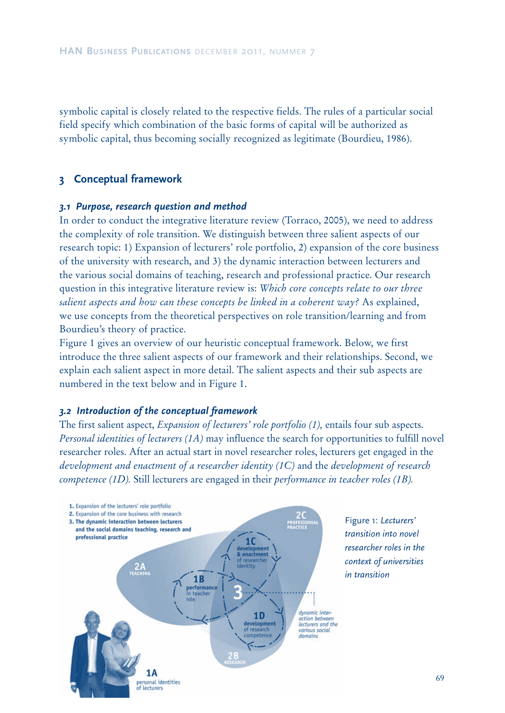symbolic capital is closely related to the respective fields. The rules of a particular social field specify which combination of the basic forms of capital will be authorized as symbolic capital, thus becoming socially recognized as legitimate (Bourdieu, 1986).

## **3 Conceptual framework**

#### *3.1 Purpose, research question and method*

In order to conduct the integrative literature review (Torraco, 2005), we need to address the complexity of role transition. We distinguish between three salient aspects of our research topic: 1) Expansion of lecturers' role portfolio, 2) expansion of the core business of the university with research, and 3) the dynamic interaction between lecturers and the various social domains of teaching, research and professional practice. Our research question in this integrative literature review is: *Which core concepts relate to our three salient aspects and how can these concepts be linked in a coherent way?* As explained, we use concepts from the theoretical perspectives on role transition/learning and from Bourdieu's theory of practice.

Figure 1 gives an overview of our heuristic conceptual framework. Below, we first introduce the three salient aspects of our framework and their relationships. Second, we explain each salient aspect in more detail. The salient aspects and their sub aspects are numbered in the text below and in Figure 1.

#### *3.2 Introduction of the conceptual framework*

The first salient aspect, *Expansion of lecturers' role portfolio (1),* entails four sub aspects. *Personal identities of lecturers (1A)* may influence the search for opportunities to fulfill novel researcher roles. After an actual start in novel researcher roles, lecturers get engaged in the *development and enactment of a researcher identity (1C)* and the *development of research competence (1D).* Still lecturers are engaged in their *performance in teacher roles (1B).* 



Figure 1: *Lecturers' transition into novel researcher roles in the context of universities in transition*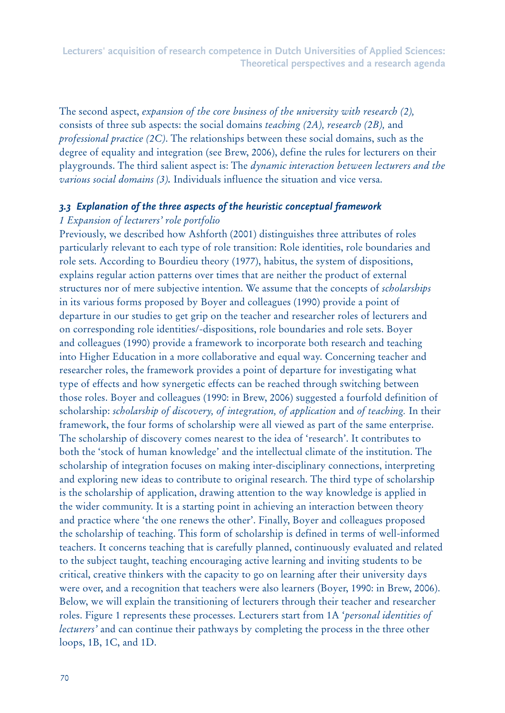The second aspect, *expansion of the core business of the university with research (2),*  consists of three sub aspects: the social domains *teaching (2A), research (2B),* and *professional practice (2C)*. The relationships between these social domains, such as the degree of equality and integration (see Brew, 2006), define the rules for lecturers on their playgrounds. The third salient aspect is: The *dynamic interaction between lecturers and the various social domains (3).* Individuals influence the situation and vice versa.

## *3.3 Explanation of the three aspects of the heuristic conceptual framework*

## *1 Expansion of lecturers' role portfolio*

Previously, we described how Ashforth (2001) distinguishes three attributes of roles particularly relevant to each type of role transition: Role identities, role boundaries and role sets. According to Bourdieu theory (1977), habitus, the system of dispositions, explains regular action patterns over times that are neither the product of external structures nor of mere subjective intention. We assume that the concepts of *scholarships* in its various forms proposed by Boyer and colleagues (1990) provide a point of departure in our studies to get grip on the teacher and researcher roles of lecturers and on corresponding role identities/-dispositions, role boundaries and role sets. Boyer and colleagues (1990) provide a framework to incorporate both research and teaching into Higher Education in a more collaborative and equal way. Concerning teacher and researcher roles, the framework provides a point of departure for investigating what type of effects and how synergetic effects can be reached through switching between those roles. Boyer and colleagues (1990: in Brew, 2006) suggested a fourfold definition of scholarship: *scholarship of discovery, of integration, of application* and *of teaching.* In their framework, the four forms of scholarship were all viewed as part of the same enterprise. The scholarship of discovery comes nearest to the idea of 'research'. It contributes to both the 'stock of human knowledge' and the intellectual climate of the institution. The scholarship of integration focuses on making inter-disciplinary connections, interpreting and exploring new ideas to contribute to original research. The third type of scholarship is the scholarship of application, drawing attention to the way knowledge is applied in the wider community. It is a starting point in achieving an interaction between theory and practice where 'the one renews the other'. Finally, Boyer and colleagues proposed the scholarship of teaching. This form of scholarship is defined in terms of well-informed teachers. It concerns teaching that is carefully planned, continuously evaluated and related to the subject taught, teaching encouraging active learning and inviting students to be critical, creative thinkers with the capacity to go on learning after their university days were over, and a recognition that teachers were also learners (Boyer, 1990: in Brew, 2006). Below, we will explain the transitioning of lecturers through their teacher and researcher roles. Figure 1 represents these processes. Lecturers start from 1A '*personal identities of lecturers'* and can continue their pathways by completing the process in the three other loops, 1B, 1C, and 1D.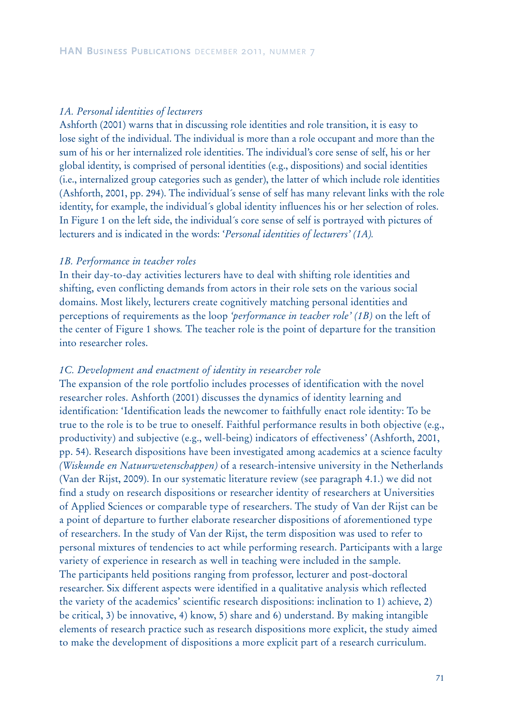## *1A. Personal identities of lecturers*

Ashforth (2001) warns that in discussing role identities and role transition, it is easy to lose sight of the individual. The individual is more than a role occupant and more than the sum of his or her internalized role identities. The individual's core sense of self, his or her global identity, is comprised of personal identities (e.g., dispositions) and social identities (i.e., internalized group categories such as gender), the latter of which include role identities (Ashforth, 2001, pp. 294). The individual´s sense of self has many relevant links with the role identity, for example, the individual´s global identity influences his or her selection of roles. In Figure 1 on the left side, the individual´s core sense of self is portrayed with pictures of lecturers and is indicated in the words: '*Personal identities of lecturers' (1A).*

#### *1B. Performance in teacher roles*

In their day-to-day activities lecturers have to deal with shifting role identities and shifting, even conflicting demands from actors in their role sets on the various social domains. Most likely, lecturers create cognitively matching personal identities and perceptions of requirements as the loop *'performance in teacher role' (1B)* on the left of the center of Figure 1 shows*.* The teacher role is the point of departure for the transition into researcher roles.

#### *1C. Development and enactment of identity in researcher role*

The expansion of the role portfolio includes processes of identification with the novel researcher roles. Ashforth (2001) discusses the dynamics of identity learning and identification: 'Identification leads the newcomer to faithfully enact role identity: To be true to the role is to be true to oneself. Faithful performance results in both objective (e.g., productivity) and subjective (e.g., well-being) indicators of effectiveness' (Ashforth, 2001, pp. 54). Research dispositions have been investigated among academics at a science faculty *(Wiskunde en Natuurwetenschappen)* of a research-intensive university in the Netherlands (Van der Rijst, 2009). In our systematic literature review (see paragraph 4.1.) we did not find a study on research dispositions or researcher identity of researchers at Universities of Applied Sciences or comparable type of researchers. The study of Van der Rijst can be a point of departure to further elaborate researcher dispositions of aforementioned type of researchers. In the study of Van der Rijst, the term disposition was used to refer to personal mixtures of tendencies to act while performing research. Participants with a large variety of experience in research as well in teaching were included in the sample. The participants held positions ranging from professor, lecturer and post-doctoral researcher. Six different aspects were identified in a qualitative analysis which reflected the variety of the academics' scientific research dispositions: inclination to 1) achieve, 2) be critical, 3) be innovative, 4) know, 5) share and 6) understand. By making intangible elements of research practice such as research dispositions more explicit, the study aimed to make the development of dispositions a more explicit part of a research curriculum.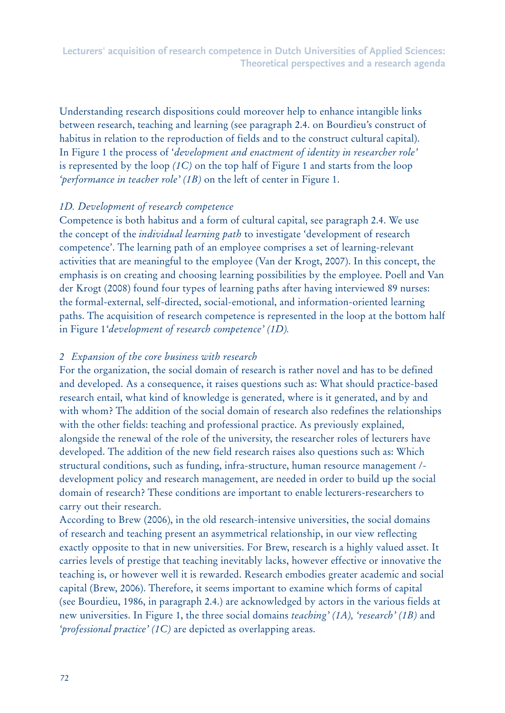Understanding research dispositions could moreover help to enhance intangible links between research, teaching and learning (see paragraph 2.4. on Bourdieu's construct of habitus in relation to the reproduction of fields and to the construct cultural capital). In Figure 1 the process of '*development and enactment of identity in researcher role'* is represented by the loop *(1C)* on the top half of Figure 1 and starts from the loop *'performance in teacher role' (1B)* on the left of center in Figure 1.

# *1D. Development of research competence*

Competence is both habitus and a form of cultural capital, see paragraph 2.4. We use the concept of the *individual learning path* to investigate 'development of research competence'. The learning path of an employee comprises a set of learning-relevant activities that are meaningful to the employee (Van der Krogt, 2007). In this concept, the emphasis is on creating and choosing learning possibilities by the employee. Poell and Van der Krogt (2008) found four types of learning paths after having interviewed 89 nurses: the formal-external, self-directed, social-emotional, and information-oriented learning paths. The acquisition of research competence is represented in the loop at the bottom half in Figure 1*'development of research competence' (1D).* 

# *2 Expansion of the core business with research*

For the organization, the social domain of research is rather novel and has to be defined and developed. As a consequence, it raises questions such as: What should practice-based research entail, what kind of knowledge is generated, where is it generated, and by and with whom? The addition of the social domain of research also redefines the relationships with the other fields: teaching and professional practice. As previously explained, alongside the renewal of the role of the university, the researcher roles of lecturers have developed. The addition of the new field research raises also questions such as: Which structural conditions, such as funding, infra-structure, human resource management / development policy and research management, are needed in order to build up the social domain of research? These conditions are important to enable lecturers-researchers to carry out their research.

According to Brew (2006), in the old research-intensive universities, the social domains of research and teaching present an asymmetrical relationship, in our view reflecting exactly opposite to that in new universities. For Brew, research is a highly valued asset. It carries levels of prestige that teaching inevitably lacks, however effective or innovative the teaching is, or however well it is rewarded. Research embodies greater academic and social capital (Brew, 2006). Therefore, it seems important to examine which forms of capital (see Bourdieu, 1986, in paragraph 2.4.) are acknowledged by actors in the various fields at new universities. In Figure 1, the three social domains *teaching' (1A), 'research' (1B)* and *'professional practice' (1C)* are depicted as overlapping areas.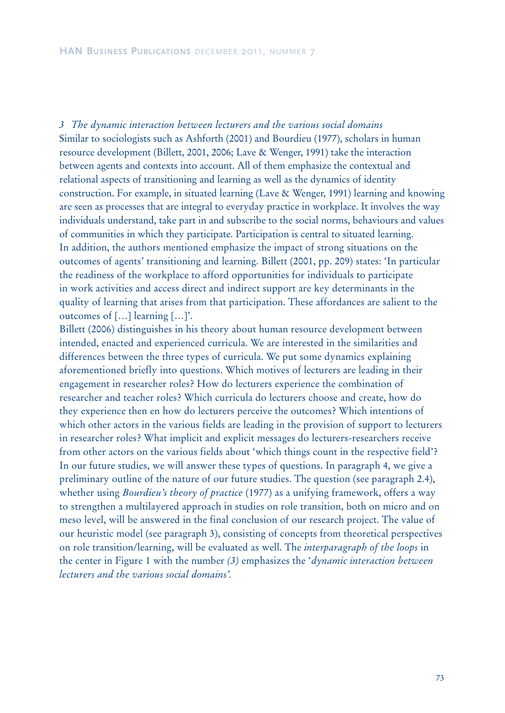*3 The dynamic interaction between lecturers and the various social domains* Similar to sociologists such as Ashforth (2001) and Bourdieu (1977), scholars in human resource development (Billett, 2001, 2006; Lave & Wenger, 1991) take the interaction between agents and contexts into account. All of them emphasize the contextual and relational aspects of transitioning and learning as well as the dynamics of identity construction. For example, in situated learning (Lave & Wenger, 1991) learning and knowing are seen as processes that are integral to everyday practice in workplace. It involves the way individuals understand, take part in and subscribe to the social norms, behaviours and values of communities in which they participate. Participation is central to situated learning. In addition, the authors mentioned emphasize the impact of strong situations on the outcomes of agents' transitioning and learning. Billett (2001, pp. 209) states: 'In particular the readiness of the workplace to afford opportunities for individuals to participate in work activities and access direct and indirect support are key determinants in the quality of learning that arises from that participation. These affordances are salient to the outcomes of […] learning […]'.

Billett (2006) distinguishes in his theory about human resource development between intended, enacted and experienced curricula. We are interested in the similarities and differences between the three types of curricula. We put some dynamics explaining aforementioned briefly into questions. Which motives of lecturers are leading in their engagement in researcher roles? How do lecturers experience the combination of researcher and teacher roles? Which curricula do lecturers choose and create, how do they experience then en how do lecturers perceive the outcomes? Which intentions of which other actors in the various fields are leading in the provision of support to lecturers in researcher roles? What implicit and explicit messages do lecturers-researchers receive from other actors on the various fields about 'which things count in the respective field'? In our future studies, we will answer these types of questions. In paragraph 4, we give a preliminary outline of the nature of our future studies. The question (see paragraph 2.4), whether using *Bourdieu's theory of practice* (1977) as a unifying framework, offers a way to strengthen a multilayered approach in studies on role transition, both on micro and on meso level, will be answered in the final conclusion of our research project. The value of our heuristic model (see paragraph 3), consisting of concepts from theoretical perspectives on role transition/learning, will be evaluated as well. The *interparagraph of the loops* in the center in Figure 1 with the number *(3)* emphasizes the '*dynamic interaction between lecturers and the various social domains'.*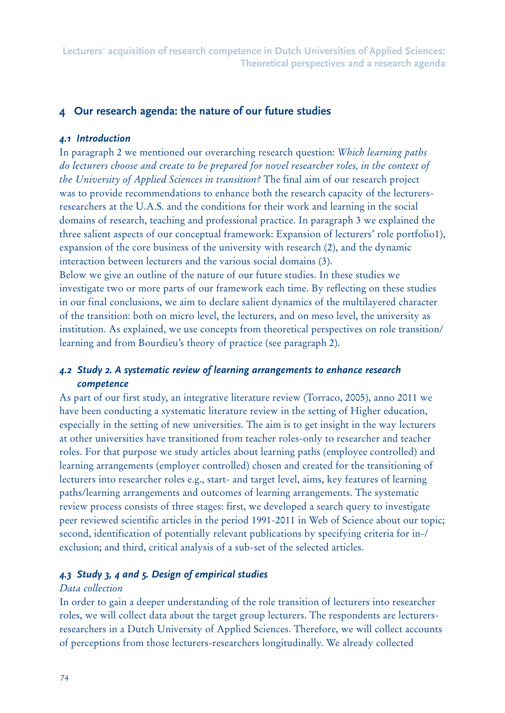# **4 Our research agenda: the nature of our future studies**

## *4.1 Introduction*

In paragraph 2 we mentioned our overarching research question: *Which learning paths do lecturers choose and create to be prepared for novel researcher roles, in the context of the University of Applied Sciences in transition?* The final aim of our research project was to provide recommendations to enhance both the research capacity of the lecturersresearchers at the U.A.S. and the conditions for their work and learning in the social domains of research, teaching and professional practice. In paragraph 3 we explained the three salient aspects of our conceptual framework: Expansion of lecturers' role portfolio1), expansion of the core business of the university with research (2), and the dynamic interaction between lecturers and the various social domains (3).

Below we give an outline of the nature of our future studies. In these studies we investigate two or more parts of our framework each time. By reflecting on these studies in our final conclusions, we aim to declare salient dynamics of the multilayered character of the transition: both on micro level, the lecturers, and on meso level, the university as institution. As explained, we use concepts from theoretical perspectives on role transition/ learning and from Bourdieu's theory of practice (see paragraph 2).

# *4.2 Study 2. A systematic review of learning arrangements to enhance research competence*

As part of our first study, an integrative literature review (Torraco, 2005), anno 2011 we have been conducting a systematic literature review in the setting of Higher education, especially in the setting of new universities. The aim is to get insight in the way lecturers at other universities have transitioned from teacher roles-only to researcher and teacher roles. For that purpose we study articles about learning paths (employee controlled) and learning arrangements (employer controlled) chosen and created for the transitioning of lecturers into researcher roles e.g., start- and target level, aims, key features of learning paths/learning arrangements and outcomes of learning arrangements. The systematic review process consists of three stages: first, we developed a search query to investigate peer reviewed scientific articles in the period 1991-2011 in Web of Science about our topic; second, identification of potentially relevant publications by specifying criteria for in-/ exclusion; and third, critical analysis of a sub-set of the selected articles.

# *4.3 Study 3, 4 and 5. Design of empirical studies*

## *Data collection*

In order to gain a deeper understanding of the role transition of lecturers into researcher roles, we will collect data about the target group lecturers. The respondents are lecturersresearchers in a Dutch University of Applied Sciences. Therefore, we will collect accounts of perceptions from those lecturers-researchers longitudinally. We already collected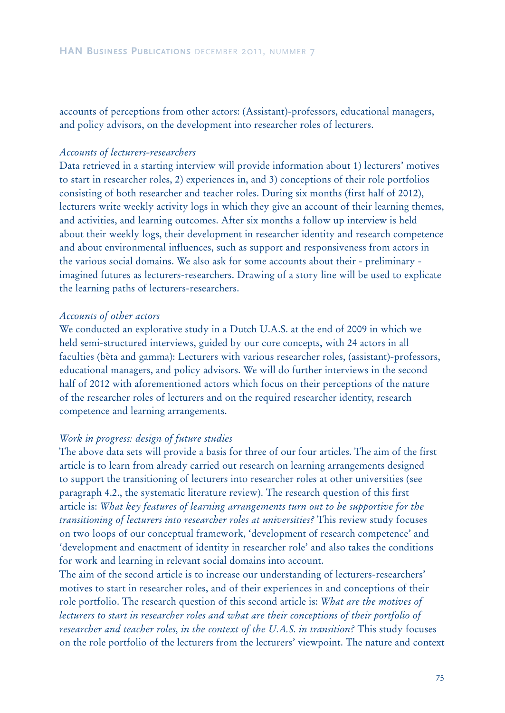accounts of perceptions from other actors: (Assistant)-professors, educational managers, and policy advisors, on the development into researcher roles of lecturers.

#### *Accounts of lecturers-researchers*

Data retrieved in a starting interview will provide information about 1) lecturers' motives to start in researcher roles, 2) experiences in, and 3) conceptions of their role portfolios consisting of both researcher and teacher roles. During six months (first half of 2012), lecturers write weekly activity logs in which they give an account of their learning themes, and activities, and learning outcomes. After six months a follow up interview is held about their weekly logs, their development in researcher identity and research competence and about environmental influences, such as support and responsiveness from actors in the various social domains. We also ask for some accounts about their - preliminary imagined futures as lecturers-researchers. Drawing of a story line will be used to explicate the learning paths of lecturers-researchers.

#### *Accounts of other actors*

We conducted an explorative study in a Dutch U.A.S. at the end of 2009 in which we held semi-structured interviews, guided by our core concepts, with 24 actors in all faculties (bèta and gamma): Lecturers with various researcher roles, (assistant)-professors, educational managers, and policy advisors. We will do further interviews in the second half of 2012 with aforementioned actors which focus on their perceptions of the nature of the researcher roles of lecturers and on the required researcher identity, research competence and learning arrangements.

#### *Work in progress: design of future studies*

The above data sets will provide a basis for three of our four articles. The aim of the first article is to learn from already carried out research on learning arrangements designed to support the transitioning of lecturers into researcher roles at other universities (see paragraph 4.2., the systematic literature review). The research question of this first article is: *What key features of learning arrangements turn out to be supportive for the transitioning of lecturers into researcher roles at universities?* This review study focuses on two loops of our conceptual framework, 'development of research competence' and 'development and enactment of identity in researcher role' and also takes the conditions for work and learning in relevant social domains into account.

The aim of the second article is to increase our understanding of lecturers-researchers' motives to start in researcher roles, and of their experiences in and conceptions of their role portfolio. The research question of this second article is: *What are the motives of lecturers to start in researcher roles and what are their conceptions of their portfolio of researcher and teacher roles, in the context of the U.A.S. in transition?* This study focuses on the role portfolio of the lecturers from the lecturers' viewpoint. The nature and context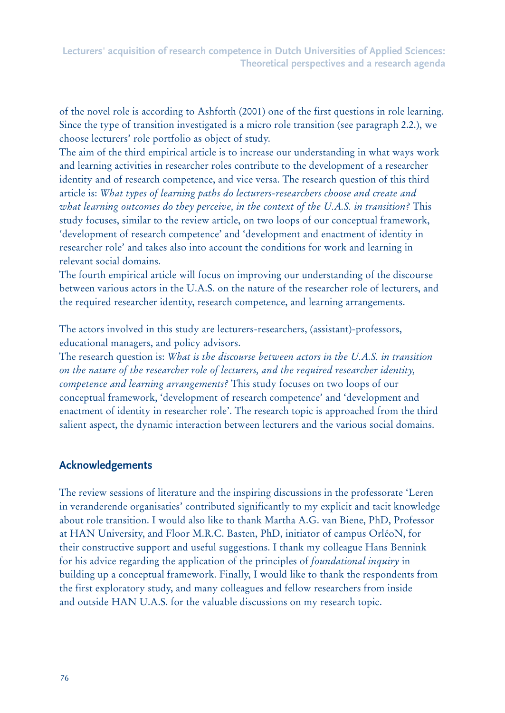of the novel role is according to Ashforth (2001) one of the first questions in role learning. Since the type of transition investigated is a micro role transition (see paragraph 2.2.), we choose lecturers' role portfolio as object of study.

The aim of the third empirical article is to increase our understanding in what ways work and learning activities in researcher roles contribute to the development of a researcher identity and of research competence, and vice versa. The research question of this third article is: *What types of learning paths do lecturers-researchers choose and create and what learning outcomes do they perceive, in the context of the U.A.S. in transition?* This study focuses, similar to the review article, on two loops of our conceptual framework, 'development of research competence' and 'development and enactment of identity in researcher role' and takes also into account the conditions for work and learning in relevant social domains.

The fourth empirical article will focus on improving our understanding of the discourse between various actors in the U.A.S. on the nature of the researcher role of lecturers, and the required researcher identity, research competence, and learning arrangements.

The actors involved in this study are lecturers-researchers, (assistant)-professors, educational managers, and policy advisors.

The research question is: *What is the discourse between actors in the U.A.S. in transition on the nature of the researcher role of lecturers, and the required researcher identity, competence and learning arrangements?* This study focuses on two loops of our conceptual framework, 'development of research competence' and 'development and enactment of identity in researcher role'. The research topic is approached from the third salient aspect, the dynamic interaction between lecturers and the various social domains.

# **Acknowledgements**

The review sessions of literature and the inspiring discussions in the professorate 'Leren in veranderende organisaties' contributed significantly to my explicit and tacit knowledge about role transition. I would also like to thank Martha A.G. van Biene, PhD, Professor at HAN University, and Floor M.R.C. Basten, PhD, initiator of campus OrléoN, for their constructive support and useful suggestions. I thank my colleague Hans Bennink for his advice regarding the application of the principles of *foundational inquiry* in building up a conceptual framework. Finally, I would like to thank the respondents from the first exploratory study, and many colleagues and fellow researchers from inside and outside HAN U.A.S. for the valuable discussions on my research topic.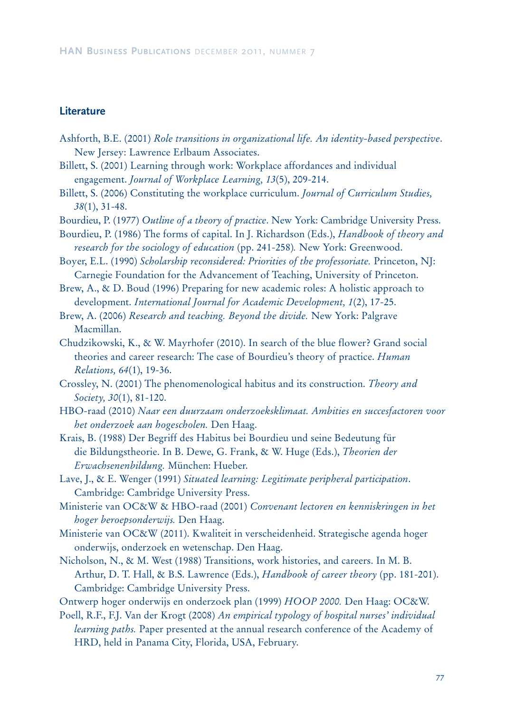## **Literature**

- Ashforth, B.E. (2001) *Role transitions in organizational life. An identity-based perspective*. New Jersey: Lawrence Erlbaum Associates.
- Billett, S. (2001) Learning through work: Workplace affordances and individual engagement. *Journal of Workplace Learning, 13*(5), 209-214.
- Billett, S. (2006) Constituting the workplace curriculum. *Journal of Curriculum Studies, 38*(1), 31-48.
- Bourdieu, P. (1977) *Outline of a theory of practice*. New York: Cambridge University Press.

Bourdieu, P. (1986) The forms of capital. In J. Richardson (Eds.), *Handbook of theory and research for the sociology of education* (pp. 241-258)*.* New York: Greenwood.

Boyer, E.L. (1990) *Scholarship reconsidered: Priorities of the professoriate.* Princeton, NJ: Carnegie Foundation for the Advancement of Teaching, University of Princeton.

Brew, A., & D. Boud (1996) Preparing for new academic roles: A holistic approach to development. *International Journal for Academic Development, 1*(2), 17-25.

Brew, A. (2006) *Research and teaching. Beyond the divide.* New York: Palgrave Macmillan.

- Chudzikowski, K., & W. Mayrhofer (2010). In search of the blue flower? Grand social theories and career research: The case of Bourdieu's theory of practice. *Human Relations, 64*(1), 19-36.
- Crossley, N. (2001) The phenomenological habitus and its construction. *Theory and Society, 30*(1), 81-120.
- HBO-raad (2010) *Naar een duurzaam onderzoeksklimaat. Ambities en succesfactoren voor het onderzoek aan hogescholen.* Den Haag.
- Krais, B. (1988) Der Begriff des Habitus bei Bourdieu und seine Bedeutung für die Bildungstheorie. In B. Dewe, G. Frank, & W. Huge (Eds.), *Theorien der Erwachsenenbildung.* München: Hueber.
- Lave, J., & E. Wenger (1991) *Situated learning: Legitimate peripheral participation*. Cambridge: Cambridge University Press.
- Ministerie van OC&W & HBO-raad (2001) *Convenant lectoren en kenniskringen in het hoger beroepsonderwijs.* Den Haag.
- Ministerie van OC&W (2011). Kwaliteit in verscheidenheid. Strategische agenda hoger onderwijs, onderzoek en wetenschap. Den Haag.
- Nicholson, N., & M. West (1988) Transitions, work histories, and careers. In M. B. Arthur, D. T. Hall, & B.S. Lawrence (Eds.), *Handbook of career theory* (pp. 181-201). Cambridge: Cambridge University Press.
- Ontwerp hoger onderwijs en onderzoek plan (1999) *HOOP 2000.* Den Haag: OC&W.
- Poell, R.F., F.J. Van der Krogt (2008) *An empirical typology of hospital nurses' individual learning paths.* Paper presented at the annual research conference of the Academy of HRD, held in Panama City, Florida, USA, February.